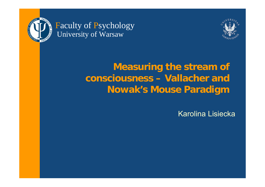

Faculty of Psychology University of Warsaw



## **Measuring the stream of consciousness – Vallacher and Nowak's Mouse Paradigm**

Karolina Lisiecka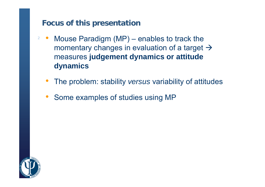#### **Focus of this presentation**

- 2 • Mouse Paradigm (MP) – enables to track the momentary changes in evaluation of a target  $\rightarrow$ measures **judgement dynamics or attitude dynamics**
	- •The problem: stability *versus* variability of attitudes
	- •• Some examples of studies using MP

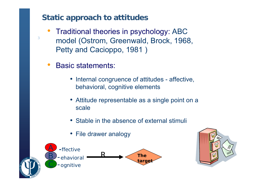#### **Static approach to attitudes**

- •• Traditional theories in psychology: ABC model (Ostrom, Greenwald, Brock, 1968, Petty and Cacioppo, 1981 )
- $\bullet$ Basic statements:

- Internal congruence of attitudes affective, behavioral, cognitive elements
- Attitude representable as a single point on a scale
- Stable in the absence of external stimuli
- File drawer analogy



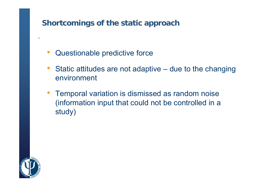#### **Shortcomings of the static approach**

- $\bullet$ Questionable predictive force
- $\bullet$  Static attitudes are not adaptive – due to the changing environment
- Temporal variation is dismissed as random noise (information input that could not be controlled in <sup>a</sup> study)

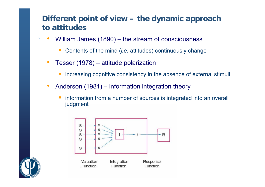#### **Different point of view – the dynamic approach to attitudes**

- • William James (1890) – the stream of consciousness
	- Contents of the mind (*i.e.* attitudes) continuously change
	- • Tesser (1978) – attitude polarization
		- $\mathbb{R}^n$ increasing cognitive consistency in the absence of external stimuli
	- • Anderson (1981) – information integration theory
		- information from a number of sources is integrated into an overall judgment



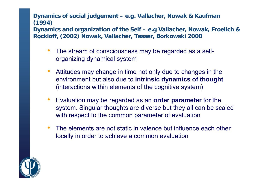#### **Dynamics of social judgement – e.g. Vallacher, Nowak & Kaufman (1994)**

6**Rockloff, (2002) Nowak, Vallacher, Tesser, Borkowski 2000 Dynamics and organization of the Self – e.g Vallacher, Nowak, Froelich &** 

- •• The stream of consciousness may be regarded as a selforganizing dynamical system
- $\bullet$  Attitudes may change in time not only due to changes in the environment but also due to **intrinsic dynamics of thought**  (interactions within elements of the cognitive system)
- $\bullet$  Evaluation may be regarded as an **order parameter** for the system. Singular thoughts are diverse but they all can be scaled with respect to the common parameter of evaluation
- $\bullet$  The elements are not static in valence but influence each other locally in order to achieve a common evaluation

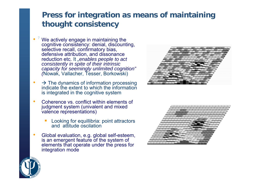#### **Press for integration as means of maintaining thought consistency**

- 7•• *V* We actively engage in maintaining the cognitive consistency: denial, discounting, selective recall, confirmatory bias, defensive attribution, and dissonance reduction etc. It *"enables people to act consistently in spite of their intrinsic capacity for seemingly unlimited cognition" (*Nowak, Vallacher, Tesser, Borkowski)
- • $\bullet \quad \Rightarrow$  The dynamics of information processing indicate the extent to which the informationis integrated in the cognitive system
- •• Coherence vs. conflict within elements of judgment system (univalent and mixed valence representations)
	- Looking for equillibria: point attractors and attitude oscilation
- •• Global evaluation, e.g. global self-esteem, is an emergent feature of the system of elements that operate under the press for integration mode





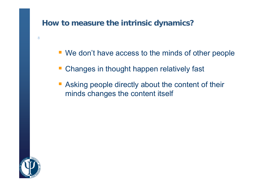#### **How to measure the intrinsic dynamics?**

- We don't have access to the minds of other people
- **Changes in thought happen relatively fast**
- **Asking people directly about the content of their** minds changes the content itself

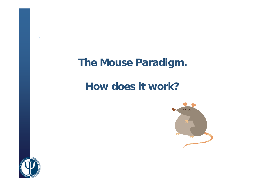## **The Mouse Paradigm.**

## **How does it work?**



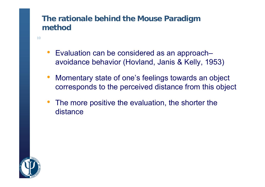#### **The rationale behind the Mouse Paradigm method**

- 10
- Evaluation can be considered as an approach– avoidance behavior (Hovland, Janis & Kelly, 1953)
- $\bullet$  Momentary state of one's feelings towards an object corresponds to the perceived distance from this object
- The more positive the evaluation, the shorter the distance

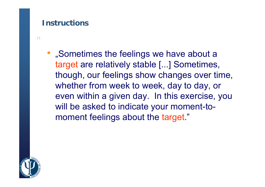#### **Instructions**

11

• "Sometimes the feelings we have about a target are relatively stable [...] Sometimes, though, our feelings show changes over time, whether from week to week, day to day, or even within a given day. In this exercise, you will be asked to indicate your moment-tomoment feelings about the target."

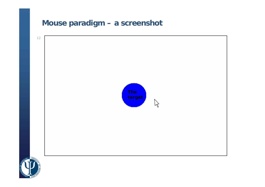### **Mouse paradigm – a screenshot**

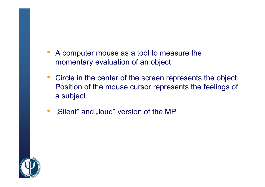- A computer mouse as a tool to measure the momentary evaluation of an object
- Circle in the center of the screen represents the object. Position of the mouse cursor represents the feelings of a subject
- "Silent" and "loud" version of the MP

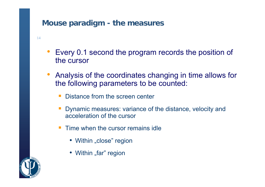#### **Mouse paradigm - the measures**

- 14
- Every 0.1 second the program records the position of the cursor
- • Analysis of the coordinates changing in time allows for the following parameters to be counted:
	- Distance from the screen center
	- Dynamic measures: variance of the distance, velocity and acceleration of the cursor
	- Time when the cursor remains idle
		- Within "close" region
		- Within "far" region

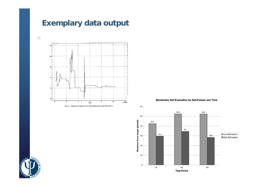#### **Exemplary data output**

15



Figure 1. Distance from target by time for subject judging positive target (Experiment 1).

Momentary Self-Evaluation by Self-Esteem and Time



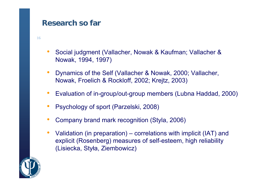#### **Research so far**

- 16
- • Social judgment (Vallacher, Nowak & Kaufman; Vallacher & Nowak, 1994, 1997)
- $\bullet$  Dynamics of the Self (Vallacher & Nowak, 2000; Vallacher, Nowak, Froelich & Rockloff, 2002; Krejtz, 2003)
- $\bullet$ Evaluation of in-group/out-group members (Lubna Haddad, 2000)
- $\bullet$ Psychology of sport (Parzelski, 2008)
- $\bullet$ Company brand mark recognition (Styla, 2006)
- $\bullet$ • Validation (in preparation) – correlations with implicit (IAT) and explicit (Rosenberg) measures of self-esteem, high reliability (Lisiecka, Styła, Ziembowicz)

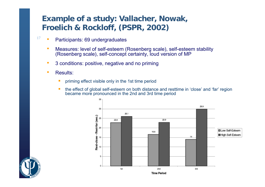#### **Example of a study: Vallacher, Nowak, Froelich & Rockloff, (PSPR, 2002)**

- 17• Participants: 69 undergraduates
	- • Measures: level of self-esteem (Rosenberg scale), self-esteem stability (Rosenberg scale), self-concept certainty, loud version of MP
	- •3 conditions: positive, negative and no priming
	- • Results:
		- priming effect visible only in the 1st time period
		- the effect of global self-esteem on both distance and resttime in 'close' and 'far' region became more pronounced in the 2nd and 3rd time period



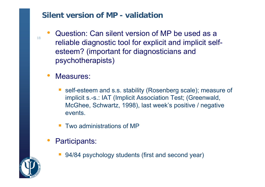#### **Silent version of MP - validation**

- • Question: Can silent version of MP be used as a reliable diagnostic tool for explicit and implicit selfesteem? (important for diagnosticians and psychotherapists)
- $\bullet$  Measures:
	- self-esteem and s.s. stability (Rosenberg scale); measure of implicit s.-s.: IAT (Implicit Association Test; (Greenwald, McGhee, Schwartz, 1998), last week's positive / negative events.
	- Two administrations of MP
- • Participants:
	- p. 94/84 psychology students (first and second year)

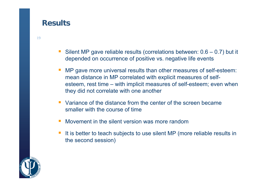#### **Results**

- Silent MP gave reliable results (correlations between: 0.6 0.7) but it depended on occurrence of positive vs. negative life events
- MP gave more universal results than other measures of self-esteem: mean distance in MP correlated with explicit measures of selfesteem, rest time – with implicit measures of self-esteem; even when they did not correlate with one another
- **U** Variance of the distance from the center of the screen became smaller with the course of time
- F Movement in the silent version was more random
- It is better to teach subjects to use silent MP (more reliable results in the second session)

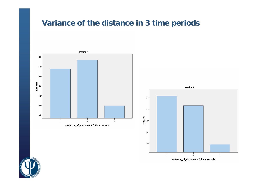#### **Variance of the distance in 3 time periods**





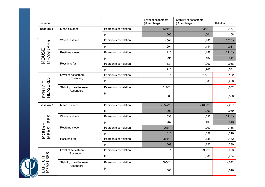|      | session                        |                                        |                       | Level of selfesteem<br>(Rosenberg) | Stability of selfesteem<br>(Rosenberg) | <b>IATeffect</b> |
|------|--------------------------------|----------------------------------------|-----------------------|------------------------------------|----------------------------------------|------------------|
| -10, | session 1                      | Mean distance                          | Pearson's correlation | $-.436$ <sup>**</sup> )            | $-.336$ <sup>**</sup> )                | $-167$           |
|      |                                |                                        | p                     | ,000                               | ,001                                   | ,108             |
|      | MOUSE<br>MEASURES              | Whole resttime                         | Pearson's correlation | $-0.001$                           | ,152                                   | $,262(*)$        |
|      |                                |                                        | p                     | ,994                               | ,144                                   | ,011             |
|      |                                | Resttime close                         | Pearson's correlation | ,110                               | ,157                                   | $,211(*)$        |
|      |                                |                                        | p                     | ,291                               | ,132                                   | ,041             |
|      |                                | Resstime far                           | Pearson's correlation | $-131$                             | $-0.007$                               | ,058             |
|      |                                |                                        | p                     | ,210                               | ,948                                   | ,581             |
|      | <b>MEASURES</b><br>EXPLICIT    | Level of selfesteem<br>(Rosenberg)     | Pearson's correlation | $\mathbf{1}$                       | $,511$ <sup>**</sup> )                 | ,132             |
|      |                                |                                        | p                     |                                    | ,000                                   | ,206             |
|      |                                | Stability of selfesteem<br>(Rosenberg) | Pearson's correlation | $,511$ <sup>**</sup> )             | $\mathbf{1}$                           | ,062             |
|      |                                |                                        | p                     | ,000                               |                                        | ,556             |
|      | session 2<br>MOUSE<br>MEASURES | Mean distance                          | Pearson's correlation | $-.657$ <sup>**</sup> )            | $-.463$ <sup>**</sup> )                | $-0.207$         |
|      |                                |                                        | p                     | 000.                               | ,000                                   | ,059             |
|      |                                | Whole resttime                         | Pearson's correlation | ,033                               | ,092                                   | $,221$ (*)       |
|      |                                |                                        | p                     | ,767                               | ,408                                   | ,043             |
|      |                                | Resttime close                         | Pearson's correlation | $,263(*)$                          | ,209                                   | ,136             |
|      |                                |                                        | p                     | ,016                               | ,057                                   | ,216             |
|      |                                | Resstime far                           | Pearson's correlation | $-.283$ <sup>**</sup> )            | $-135$                                 | ,132             |
|      |                                |                                        | p                     | ,009                               | ,222                                   | ,230             |
|      | <b>MEASURES</b><br>EXPLICIT    | Level of selfesteem<br>(Rosenberg)     | Pearson's correlation | $\mathbf{1}$                       | $,595$ <sup>(**)</sup>                 | ,033             |
|      |                                |                                        | p                     |                                    | ,000                                   | .764             |
|      |                                | Stability of selfesteem<br>(Rosenberg) | Pearson's correlation | $,595$ <sup>**</sup> )             | $\mathbf{1}$                           | $-0.072$         |
|      |                                |                                        | p                     | ,000                               |                                        | ,516             |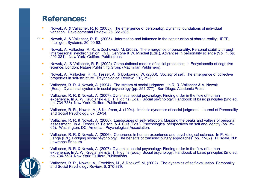#### **References:**

•

∙ছে⊻

- • Nowak, A. & Vallacher, R. R. (2005). The emergence of personality: Dynamic foundations of individual variation. Developmental Review, 25, 351-385.
- 22• Nowak, A. & Vallacher, R. R. (2005). Information and influence in the construction of shared reality. IEEE: Intelligent Systems, 20, 90-93.
	- • Nowak, A. Vallacher, R. R., & Zochowski, M. (2002). The emergence of personality: Personal stability through interpersonal synchronization. In D. Cervone & W. Mischel (Eds.), Advances in personality science (Vol. 1, pp. 292-331). New York: Guilford Publications.
	- • Nowak, A., & Vallacher, R. R. (2002). Computational models of social processes. In Encyclopedia of cognitive science. London: Nature Publishing Group (Macmillan Publishers).
	- • Nowak, A., Vallacher, R. R., Tesser, A., & Borkowski, W. (2000). Society of self: The emergence of collective properties in self-structure. Psychological Review, 107, 39-61.
	- • Vallacher, R. R. & Nowak, A. (1994). The stream of social judgment. In R. R. Vallacher & A. Nowak (Eds.). Dynamical systems in social psychology (pp. 251-277). San Diego: Academic Press.
	- • Vallacher, R. R. & Nowak, A. (2007). Dynamical social psychology: Finding order in the flow of human experience. In A. W. Kruglanski & E. T. Higgins (Eds.), Social psychology: Handbook of basic principles (2nd ed, pp. 734-758). New York: Guilford Publications.
	- • Vallacher, R. R., Nowak, A., & Kaufman, J. (1994). Intrinsic dynamics of social judgment. Journal of Personality and Social Psychology, 67, 20-34.
	- • Vallacher, R. R. & Nowak, A. (2000). Landscapes of self-reflection: Mapping the peaks and valleys of personal assessment. In A. Tesser, R. Felson, & J. Suls (Eds.), Psychological perspectives on self and identity (pp. 35- 65). Washington, DC: American Psychological Association.
	- • Vallacher, R. R. & Nowak, A. (2006). Coherence in human experience and psychological science. In P. Van Lange (Ed.), Bridging social psychology: The benefits of transdisciplinary approaches (pp. 77-82). Hillsdale, NJ: Lawrence Erlbaum.
	- • Vallacher, R. R. & Nowak, A. (2007). Dynamical social psychology: Finding order in the flow of human experience. In A. W. Kruglanski & E. T. Higgins (Eds.), Social psychology: Handbook of basic principles (2nd ed, pp. 734-758). New York: Guilford Publications.